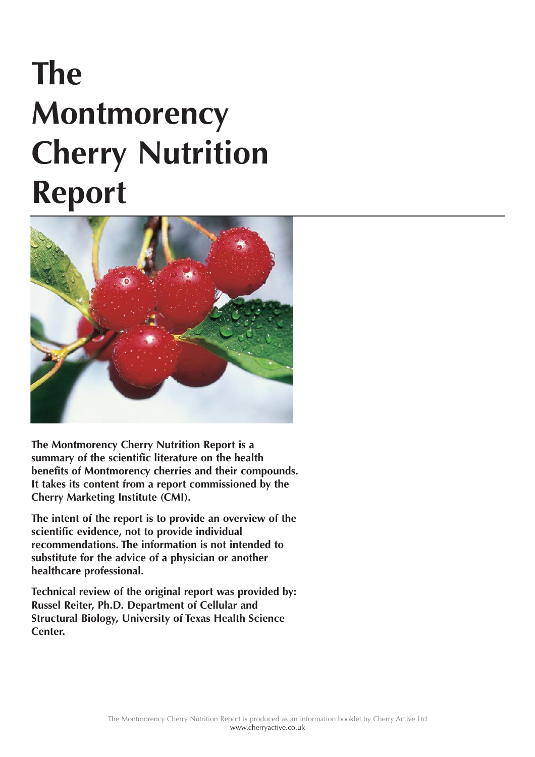# **The Montmorency Cherry Nutrition Report**



**The Montmorency Cherry Nutrition Report is a summary of the scientific literature on the health benefits of Montmorency cherries and their compounds. It takes its content from a report commissioned by the Cherry Marketing Institute (CMI).**

**The intent of the report is to provide an overview of the scientific evidence, not to provide individual recommendations. The information is not intended to substitute for the advice of a physician or another healthcare professional.**

**Technical review of the original report was provided by: Russel Reiter, Ph.D. Department of Cellular and Structural Biology, University of Texas Health Science Center.**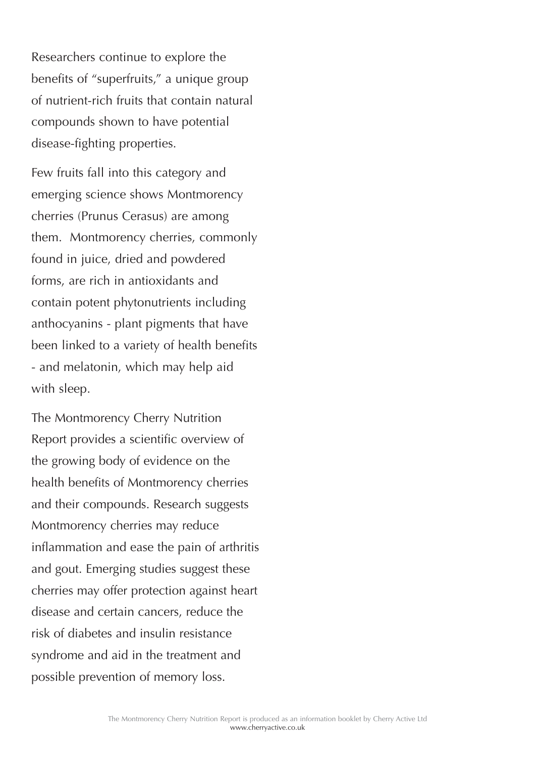Researchers continue to explore the benefits of "superfruits," a unique group of nutrient-rich fruits that contain natural compounds shown to have potential disease-fighting properties.

Few fruits fall into this category and emerging science shows Montmorency cherries (Prunus Cerasus) are among them. Montmorency cherries, commonly found in juice, dried and powdered forms, are rich in antioxidants and contain potent phytonutrients including anthocyanins - plant pigments that have been linked to a variety of health benefits - and melatonin, which may help aid with sleep.

The Montmorency Cherry Nutrition Report provides a scientific overview of the growing body of evidence on the health benefits of Montmorency cherries and their compounds. Research suggests Montmorency cherries may reduce inflammation and ease the pain of arthritis and gout. Emerging studies suggest these cherries may offer protection against heart disease and certain cancers, reduce the risk of diabetes and insulin resistance syndrome and aid in the treatment and possible prevention of memory loss.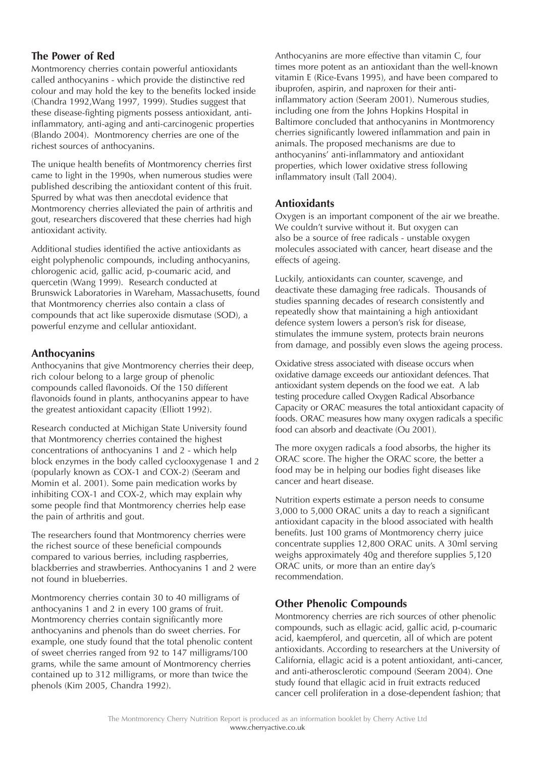## **The Power of Red**

Montmorency cherries contain powerful antioxidants called anthocyanins - which provide the distinctive red colour and may hold the key to the benefits locked inside (Chandra 1992,Wang 1997, 1999). Studies suggest that these disease-fighting pigments possess antioxidant, antiinflammatory, anti-aging and anti-carcinogenic properties (Blando 2004). Montmorency cherries are one of the richest sources of anthocyanins.

The unique health benefits of Montmorency cherries first came to light in the 1990s, when numerous studies were published describing the antioxidant content of this fruit. Spurred by what was then anecdotal evidence that Montmorency cherries alleviated the pain of arthritis and gout, researchers discovered that these cherries had high antioxidant activity.

Additional studies identified the active antioxidants as eight polyphenolic compounds, including anthocyanins, chlorogenic acid, gallic acid, p-coumaric acid, and quercetin (Wang 1999). Research conducted at Brunswick Laboratories in Wareham, Massachusetts, found that Montmorency cherries also contain a class of compounds that act like superoxide dismutase (SOD), a powerful enzyme and cellular antioxidant.

## **Anthocyanins**

Anthocyanins that give Montmorency cherries their deep, rich colour belong to a large group of phenolic compounds called flavonoids. Of the 150 different flavonoids found in plants, anthocyanins appear to have the greatest antioxidant capacity (Elliott 1992).

Research conducted at Michigan State University found that Montmorency cherries contained the highest concentrations of anthocyanins 1 and 2 - which help block enzymes in the body called cyclooxygenase 1 and 2 (popularly known as COX-1 and COX-2) (Seeram and Momin et al. 2001). Some pain medication works by inhibiting COX-1 and COX-2, which may explain why some people find that Montmorency cherries help ease the pain of arthritis and gout.

The researchers found that Montmorency cherries were the richest source of these beneficial compounds compared to various berries, including raspberries, blackberries and strawberries. Anthocyanins 1 and 2 were not found in blueberries.

Montmorency cherries contain 30 to 40 milligrams of anthocyanins 1 and 2 in every 100 grams of fruit. Montmorency cherries contain significantly more anthocyanins and phenols than do sweet cherries. For example, one study found that the total phenolic content of sweet cherries ranged from 92 to 147 milligrams/100 grams, while the same amount of Montmorency cherries contained up to 312 milligrams, or more than twice the phenols (Kim 2005, Chandra 1992).

Anthocyanins are more effective than vitamin C, four times more potent as an antioxidant than the well-known vitamin E (Rice-Evans 1995), and have been compared to ibuprofen, aspirin, and naproxen for their antiinflammatory action (Seeram 2001). Numerous studies, including one from the Johns Hopkins Hospital in Baltimore concluded that anthocyanins in Montmorency cherries significantly lowered inflammation and pain in animals. The proposed mechanisms are due to anthocyanins' anti-inflammatory and antioxidant properties, which lower oxidative stress following inflammatory insult (Tall 2004).

#### **Antioxidants**

Oxygen is an important component of the air we breathe. We couldn't survive without it. But oxygen can also be a source of free radicals - unstable oxygen molecules associated with cancer, heart disease and the effects of ageing.

Luckily, antioxidants can counter, scavenge, and deactivate these damaging free radicals. Thousands of studies spanning decades of research consistently and repeatedly show that maintaining a high antioxidant defence system lowers a person's risk for disease, stimulates the immune system, protects brain neurons from damage, and possibly even slows the ageing process.

Oxidative stress associated with disease occurs when oxidative damage exceeds our antioxidant defences. That antioxidant system depends on the food we eat. A lab testing procedure called Oxygen Radical Absorbance Capacity or ORAC measures the total antioxidant capacity of foods. ORAC measures how many oxygen radicals a specific food can absorb and deactivate (Ou 2001).

The more oxygen radicals a food absorbs, the higher its ORAC score. The higher the ORAC score, the better a food may be in helping our bodies fight diseases like cancer and heart disease.

Nutrition experts estimate a person needs to consume 3,000 to 5,000 ORAC units a day to reach a significant antioxidant capacity in the blood associated with health benefits. Just 100 grams of Montmorency cherry juice concentrate supplies 12,800 ORAC units. A 30ml serving weighs approximately 40g and therefore supplies 5,120 ORAC units, or more than an entire day's recommendation.

## **Other Phenolic Compounds**

Montmorency cherries are rich sources of other phenolic compounds, such as ellagic acid, gallic acid, p-coumaric acid, kaempferol, and quercetin, all of which are potent antioxidants. According to researchers at the University of California, ellagic acid is a potent antioxidant, anti-cancer, and anti-atherosclerotic compound (Seeram 2004). One study found that ellagic acid in fruit extracts reduced cancer cell proliferation in a dose-dependent fashion; that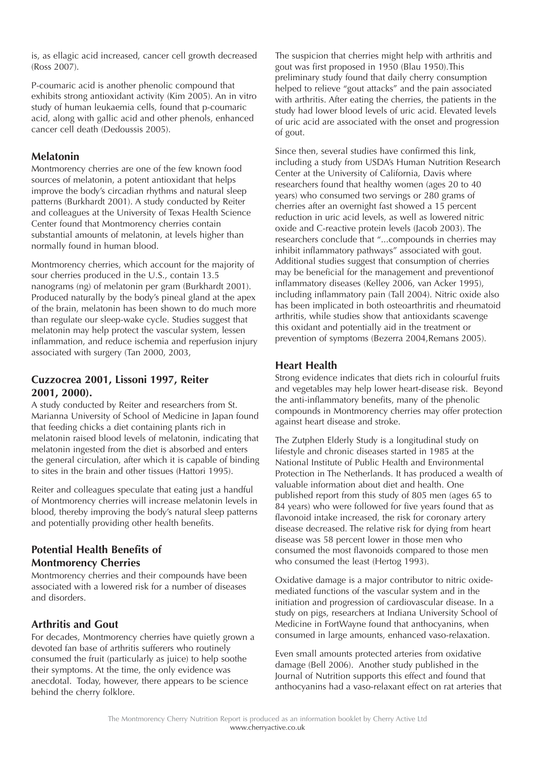is, as ellagic acid increased, cancer cell growth decreased (Ross 2007).

P-coumaric acid is another phenolic compound that exhibits strong antioxidant activity (Kim 2005). An in vitro study of human leukaemia cells, found that p-coumaric acid, along with gallic acid and other phenols, enhanced cancer cell death (Dedoussis 2005).

## **Melatonin**

Montmorency cherries are one of the few known food sources of melatonin, a potent antioxidant that helps improve the body's circadian rhythms and natural sleep patterns (Burkhardt 2001). A study conducted by Reiter and colleagues at the University of Texas Health Science Center found that Montmorency cherries contain substantial amounts of melatonin, at levels higher than normally found in human blood.

Montmorency cherries, which account for the majority of sour cherries produced in the U.S., contain 13.5 nanograms (ng) of melatonin per gram (Burkhardt 2001). Produced naturally by the body's pineal gland at the apex of the brain, melatonin has been shown to do much more than regulate our sleep-wake cycle. Studies suggest that melatonin may help protect the vascular system, lessen inflammation, and reduce ischemia and reperfusion injury associated with surgery (Tan 2000, 2003,

## **Cuzzocrea 2001, Lissoni 1997, Reiter 2001, 2000).**

A study conducted by Reiter and researchers from St. Marianna University of School of Medicine in Japan found that feeding chicks a diet containing plants rich in melatonin raised blood levels of melatonin, indicating that melatonin ingested from the diet is absorbed and enters the general circulation, after which it is capable of binding to sites in the brain and other tissues (Hattori 1995).

Reiter and colleagues speculate that eating just a handful of Montmorency cherries will increase melatonin levels in blood, thereby improving the body's natural sleep patterns and potentially providing other health benefits.

# **Potential Health Benefits of Montmorency Cherries**

Montmorency cherries and their compounds have been associated with a lowered risk for a number of diseases and disorders.

# **Arthritis and Gout**

For decades, Montmorency cherries have quietly grown a devoted fan base of arthritis sufferers who routinely consumed the fruit (particularly as juice) to help soothe their symptoms. At the time, the only evidence was anecdotal. Today, however, there appears to be science behind the cherry folklore.

The suspicion that cherries might help with arthritis and gout was first proposed in 1950 (Blau 1950).This preliminary study found that daily cherry consumption helped to relieve "gout attacks" and the pain associated with arthritis. After eating the cherries, the patients in the study had lower blood levels of uric acid. Elevated levels of uric acid are associated with the onset and progression of gout.

Since then, several studies have confirmed this link, including a study from USDA's Human Nutrition Research Center at the University of California, Davis where researchers found that healthy women (ages 20 to 40 years) who consumed two servings or 280 grams of cherries after an overnight fast showed a 15 percent reduction in uric acid levels, as well as lowered nitric oxide and C-reactive protein levels (Jacob 2003). The researchers conclude that "...compounds in cherries may inhibit inflammatory pathways" associated with gout. Additional studies suggest that consumption of cherries may be beneficial for the management and preventionof inflammatory diseases (Kelley 2006, van Acker 1995), including inflammatory pain (Tall 2004). Nitric oxide also has been implicated in both osteoarthritis and rheumatoid arthritis, while studies show that antioxidants scavenge this oxidant and potentially aid in the treatment or prevention of symptoms (Bezerra 2004,Remans 2005).

# **Heart Health**

Strong evidence indicates that diets rich in colourful fruits and vegetables may help lower heart-disease risk. Beyond the anti-inflammatory benefits, many of the phenolic compounds in Montmorency cherries may offer protection against heart disease and stroke.

The Zutphen Elderly Study is a longitudinal study on lifestyle and chronic diseases started in 1985 at the National Institute of Public Health and Environmental Protection in The Netherlands. It has produced a wealth of valuable information about diet and health. One published report from this study of 805 men (ages 65 to 84 years) who were followed for five years found that as flavonoid intake increased, the risk for coronary artery disease decreased. The relative risk for dying from heart disease was 58 percent lower in those men who consumed the most flavonoids compared to those men who consumed the least (Hertog 1993).

Oxidative damage is a major contributor to nitric oxidemediated functions of the vascular system and in the initiation and progression of cardiovascular disease. In a study on pigs, researchers at Indiana University School of Medicine in FortWayne found that anthocyanins, when consumed in large amounts, enhanced vaso-relaxation.

Even small amounts protected arteries from oxidative damage (Bell 2006). Another study published in the Journal of Nutrition supports this effect and found that anthocyanins had a vaso-relaxant effect on rat arteries that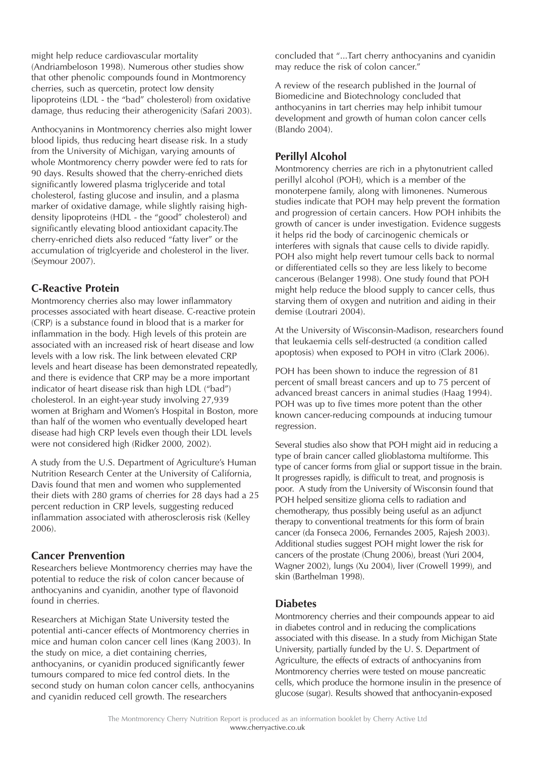might help reduce cardiovascular mortality (Andriambeloson 1998). Numerous other studies show that other phenolic compounds found in Montmorency cherries, such as quercetin, protect low density lipoproteins (LDL - the "bad" cholesterol) from oxidative damage, thus reducing their atherogenicity (Safari 2003).

Anthocyanins in Montmorency cherries also might lower blood lipids, thus reducing heart disease risk. In a study from the University of Michigan, varying amounts of whole Montmorency cherry powder were fed to rats for 90 days. Results showed that the cherry-enriched diets significantly lowered plasma triglyceride and total cholesterol, fasting glucose and insulin, and a plasma marker of oxidative damage, while slightly raising highdensity lipoproteins (HDL - the "good" cholesterol) and significantly elevating blood antioxidant capacity.The cherry-enriched diets also reduced "fatty liver" or the accumulation of triglcyeride and cholesterol in the liver. (Seymour 2007).

## **C-Reactive Protein**

Montmorency cherries also may lower inflammatory processes associated with heart disease. C-reactive protein (CRP) is a substance found in blood that is a marker for inflammation in the body. High levels of this protein are associated with an increased risk of heart disease and low levels with a low risk. The link between elevated CRP levels and heart disease has been demonstrated repeatedly, and there is evidence that CRP may be a more important indicator of heart disease risk than high LDL ("bad") cholesterol. In an eight-year study involving 27,939 women at Brigham and Women's Hospital in Boston, more than half of the women who eventually developed heart disease had high CRP levels even though their LDL levels were not considered high (Ridker 2000, 2002).

A study from the U.S. Department of Agriculture's Human Nutrition Research Center at the University of California, Davis found that men and women who supplemented their diets with 280 grams of cherries for 28 days had a 25 percent reduction in CRP levels, suggesting reduced inflammation associated with atherosclerosis risk (Kelley 2006).

## **Cancer Prenvention**

Researchers believe Montmorency cherries may have the potential to reduce the risk of colon cancer because of anthocyanins and cyanidin, another type of flavonoid found in cherries.

Researchers at Michigan State University tested the potential anti-cancer effects of Montmorency cherries in mice and human colon cancer cell lines (Kang 2003). In the study on mice, a diet containing cherries, anthocyanins, or cyanidin produced significantly fewer tumours compared to mice fed control diets. In the second study on human colon cancer cells, anthocyanins and cyanidin reduced cell growth. The researchers

concluded that "...Tart cherry anthocyanins and cyanidin may reduce the risk of colon cancer."

A review of the research published in the Journal of Biomedicine and Biotechnology concluded that anthocyanins in tart cherries may help inhibit tumour development and growth of human colon cancer cells (Blando 2004).

# **Perillyl Alcohol**

Montmorency cherries are rich in a phytonutrient called perillyl alcohol (POH), which is a member of the monoterpene family, along with limonenes. Numerous studies indicate that POH may help prevent the formation and progression of certain cancers. How POH inhibits the growth of cancer is under investigation. Evidence suggests it helps rid the body of carcinogenic chemicals or interferes with signals that cause cells to divide rapidly. POH also might help revert tumour cells back to normal or differentiated cells so they are less likely to become cancerous (Belanger 1998). One study found that POH might help reduce the blood supply to cancer cells, thus starving them of oxygen and nutrition and aiding in their demise (Loutrari 2004).

At the University of Wisconsin-Madison, researchers found that leukaemia cells self-destructed (a condition called apoptosis) when exposed to POH in vitro (Clark 2006).

POH has been shown to induce the regression of 81 percent of small breast cancers and up to 75 percent of advanced breast cancers in animal studies (Haag 1994). POH was up to five times more potent than the other known cancer-reducing compounds at inducing tumour regression.

Several studies also show that POH might aid in reducing a type of brain cancer called glioblastoma multiforme. This type of cancer forms from glial or support tissue in the brain. It progresses rapidly, is difficult to treat, and prognosis is poor. A study from the University of Wisconsin found that POH helped sensitize glioma cells to radiation and chemotherapy, thus possibly being useful as an adjunct therapy to conventional treatments for this form of brain cancer (da Fonseca 2006, Fernandes 2005, Rajesh 2003). Additional studies suggest POH might lower the risk for cancers of the prostate (Chung 2006), breast (Yuri 2004, Wagner 2002), lungs (Xu 2004), liver (Crowell 1999), and skin (Barthelman 1998).

## **Diabetes**

Montmorency cherries and their compounds appear to aid in diabetes control and in reducing the complications associated with this disease. In a study from Michigan State University, partially funded by the U. S. Department of Agriculture, the effects of extracts of anthocyanins from Montmorency cherries were tested on mouse pancreatic cells, which produce the hormone insulin in the presence of glucose (sugar). Results showed that anthocyanin-exposed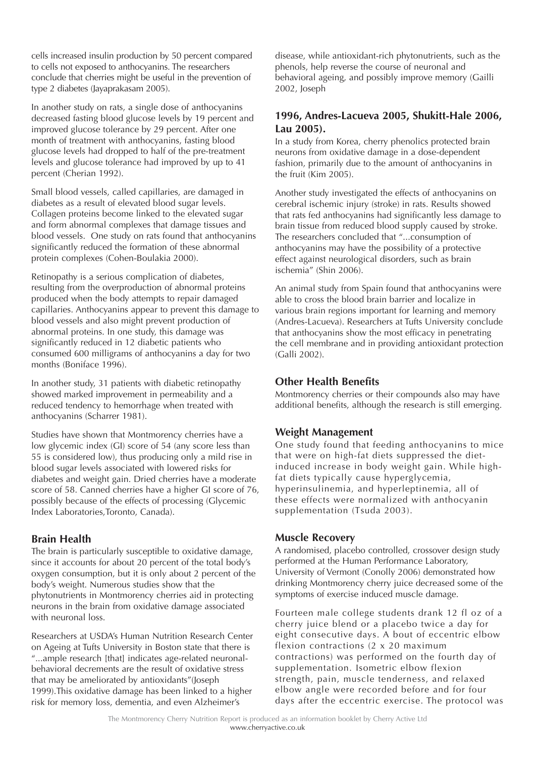cells increased insulin production by 50 percent compared to cells not exposed to anthocyanins. The researchers conclude that cherries might be useful in the prevention of type 2 diabetes (Jayaprakasam 2005).

In another study on rats, a single dose of anthocyanins decreased fasting blood glucose levels by 19 percent and improved glucose tolerance by 29 percent. After one month of treatment with anthocyanins, fasting blood glucose levels had dropped to half of the pre-treatment levels and glucose tolerance had improved by up to 41 percent (Cherian 1992).

Small blood vessels, called capillaries, are damaged in diabetes as a result of elevated blood sugar levels. Collagen proteins become linked to the elevated sugar and form abnormal complexes that damage tissues and blood vessels. One study on rats found that anthocyanins significantly reduced the formation of these abnormal protein complexes (Cohen-Boulakia 2000).

Retinopathy is a serious complication of diabetes, resulting from the overproduction of abnormal proteins produced when the body attempts to repair damaged capillaries. Anthocyanins appear to prevent this damage to blood vessels and also might prevent production of abnormal proteins. In one study, this damage was significantly reduced in 12 diabetic patients who consumed 600 milligrams of anthocyanins a day for two months (Boniface 1996).

In another study, 31 patients with diabetic retinopathy showed marked improvement in permeability and a reduced tendency to hemorrhage when treated with anthocyanins (Scharrer 1981).

Studies have shown that Montmorency cherries have a low glycemic index (GI) score of 54 (any score less than 55 is considered low), thus producing only a mild rise in blood sugar levels associated with lowered risks for diabetes and weight gain. Dried cherries have a moderate score of 58. Canned cherries have a higher GI score of 76, possibly because of the effects of processing (Glycemic Index Laboratories,Toronto, Canada).

## **Brain Health**

The brain is particularly susceptible to oxidative damage, since it accounts for about 20 percent of the total body's oxygen consumption, but it is only about 2 percent of the body's weight. Numerous studies show that the phytonutrients in Montmorency cherries aid in protecting neurons in the brain from oxidative damage associated with neuronal loss.

Researchers at USDA's Human Nutrition Research Center on Ageing at Tufts University in Boston state that there is "...ample research [that] indicates age-related neuronalbehavioral decrements are the result of oxidative stress that may be ameliorated by antioxidants"(Joseph 1999).This oxidative damage has been linked to a higher risk for memory loss, dementia, and even Alzheimer's

disease, while antioxidant-rich phytonutrients, such as the phenols, help reverse the course of neuronal and behavioral ageing, and possibly improve memory (Gailli 2002, Joseph

#### **1996, Andres-Lacueva 2005, Shukitt-Hale 2006, Lau 2005).**

In a study from Korea, cherry phenolics protected brain neurons from oxidative damage in a dose-dependent fashion, primarily due to the amount of anthocyanins in the fruit (Kim 2005).

Another study investigated the effects of anthocyanins on cerebral ischemic injury (stroke) in rats. Results showed that rats fed anthocyanins had significantly less damage to brain tissue from reduced blood supply caused by stroke. The researchers concluded that "...consumption of anthocyanins may have the possibility of a protective effect against neurological disorders, such as brain ischemia" (Shin 2006).

An animal study from Spain found that anthocyanins were able to cross the blood brain barrier and localize in various brain regions important for learning and memory (Andres-Lacueva). Researchers at Tufts University conclude that anthocyanins show the most efficacy in penetrating the cell membrane and in providing antioxidant protection (Galli 2002).

#### **Other Health Benefits**

Montmorency cherries or their compounds also may have additional benefits, although the research is still emerging.

## **Weight Management**

One study found that feeding anthocyanins to mice that were on high-fat diets suppressed the dietinduced increase in body weight gain. While highfat diets typically cause hyperglycemia, hyperinsulinemia, and hyperleptinemia, all of these effects were normalized with anthocyanin supplementation (Tsuda 2003).

#### **Muscle Recovery**

A randomised, placebo controlled, crossover design study performed at the Human Performance Laboratory, University of Vermont (Conolly 2006) demonstrated how drinking Montmorency cherry juice decreased some of the symptoms of exercise induced muscle damage.

Fourteen male college students drank 12 fl oz of a cherry juice blend or a placebo twice a day for eight consecutive days. A bout of eccentric elbow flexion contractions (2 x 20 maximum contractions) was performed on the fourth day of supplementation. Isometric elbow flexion strength, pain, muscle tenderness, and relaxed elbow angle were recorded before and for four days after the eccentric exercise. The protocol was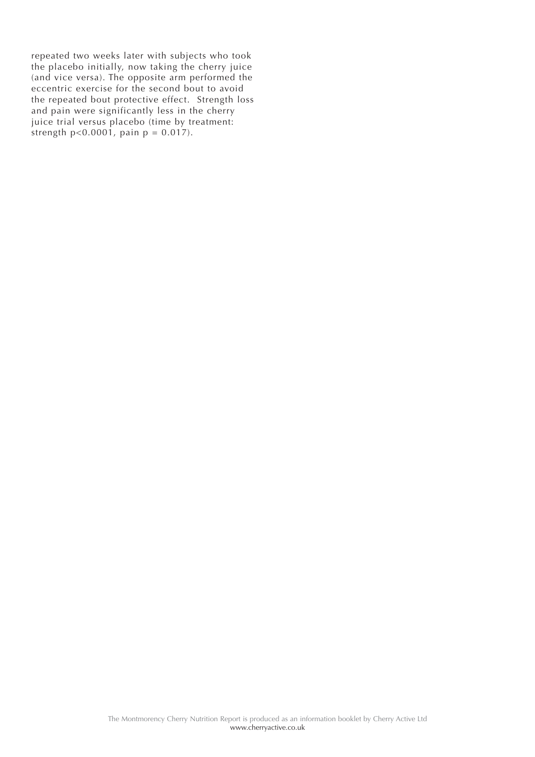repeated two weeks later with subjects who took the placebo initially, now taking the cherry juice (and vice versa). The opposite arm performed the eccentric exercise for the second bout to avoid the repeated bout protective effect. Strength loss and pain were significantly less in the cherry juice trial versus placebo (time by treatment: strength  $p < 0.0001$ , pain  $p = 0.017$ ).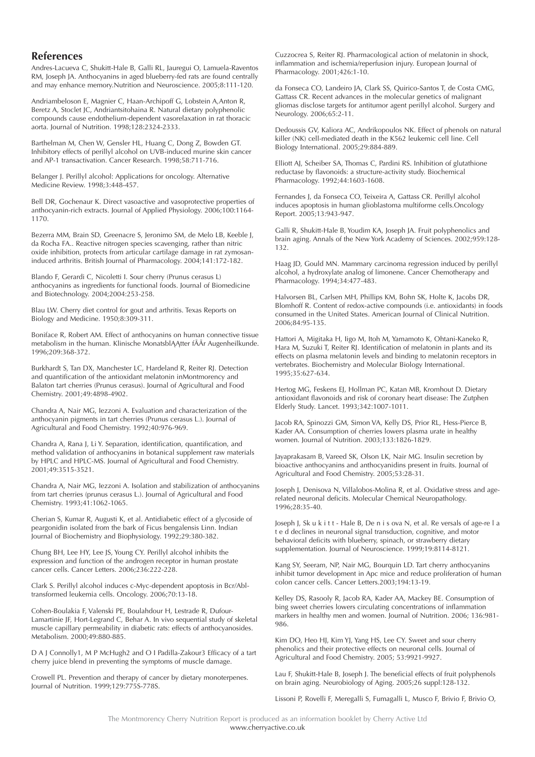#### **References**

Andres-Lacueva C, Shukitt-Hale B, Galli RL, Jauregui O, Lamuela-Raventos RM, Joseph JA. Anthocyanins in aged blueberry-fed rats are found centrally and may enhance memory.Nutrition and Neuroscience. 2005;8:111-120.

Andriambeloson E, Magnier C, Haan-Archipoff G, Lobstein A,Anton R, Beretz A, Stoclet JC, Andriantsitohaina R. Natural dietary polyphenolic compounds cause endothelium-dependent vasorelaxation in rat thoracic aorta. Journal of Nutrition. 1998;128:2324-2333.

Barthelman M, Chen W, Gensler HL, Huang C, Dong Z, Bowden GT. Inhibitory effects of perillyl alcohol on UVB-induced murine skin cancer and AP-1 transactivation. Cancer Research. 1998;58:711-716.

Belanger J. Perillyl alcohol: Applications for oncology. Alternative Medicine Review. 1998;3:448-457.

Bell DR, Gochenaur K. Direct vasoactive and vasoprotective properties of anthocyanin-rich extracts. Journal of Applied Physiology. 2006;100:1164- 1170.

Bezerra MM, Brain SD, Greenacre S, Jeronimo SM, de Melo LB, Keeble J, da Rocha FA.. Reactive nitrogen species scavenging, rather than nitric oxide inhibition, protects from articular cartilage damage in rat zymosaninduced arthritis. British Journal of Pharmacology. 2004;141:172-182.

Blando F, Gerardi C, Nicoletti I. Sour cherry (Prunus cerasus L) anthocyanins as ingredients for functional foods. Journal of Biomedicine and Biotechnology. 2004;2004:253-258.

Blau LW. Cherry diet control for gout and arthritis. Texas Reports on Biology and Medicine. 1950;8:309-311.

Boniface R, Robert AM. Effect of anthocyanins on human connective tissue metabolism in the human. Klinische MonatsblĄĄtter fĀĀr Augenheilkunde. 1996;209:368-372.

Burkhardt S, Tan DX, Manchester LC, Hardeland R, Reiter RJ. Detection and quantification of the antioxidant melatonin inMontmorency and Balaton tart cherries (Prunus cerasus). Journal of Agricultural and Food Chemistry. 2001;49:4898-4902.

Chandra A, Nair MG, Iezzoni A. Evaluation and characterization of the anthocyanin pigments in tart cherries (Prunus cerasus L.). Journal of Agricultural and Food Chemistry. 1992;40:976-969.

Chandra A, Rana J, Li Y. Separation, identification, quantification, and method validation of anthocyanins in botanical supplement raw materials by HPLC and HPLC-MS. Journal of Agricultural and Food Chemistry. 2001;49:3515-3521.

Chandra A, Nair MG, Iezzoni A. Isolation and stabilization of anthocyanins from tart cherries (prunus cerasus L.). Journal of Agricultural and Food Chemistry. 1993;41:1062-1065.

Cherian S, Kumar R, Augusti K, et al. Antidiabetic effect of a glycoside of peargonidin isolated from the bark of Ficus bengalensis Linn. Indian Journal of Biochemistry and Biophysiology. 1992;29:380-382.

Chung BH, Lee HY, Lee JS, Young CY. Perillyl alcohol inhibits the expression and function of the androgen receptor in human prostate cancer cells. Cancer Letters. 2006;236:222-228.

Clark S. Perillyl alcohol induces c-Myc-dependent apoptosis in Bcr/Abltransformed leukemia cells. Oncology. 2006;70:13-18.

Cohen-Boulakia F, Valenski PE, Boulahdour H, Lestrade R, Dufour-Lamartinie JF, Hort-Legrand C, Behar A. In vivo sequential study of skeletal muscle capillary permeability in diabetic rats: effects of anthocyanosides. Metabolism. 2000;49:880-885.

D A J Connolly1, M P McHugh2 and O I Padilla-Zakour3 Efficacy of a tart cherry juice blend in preventing the symptoms of muscle damage.

Crowell PL. Prevention and therapy of cancer by dietary monoterpenes. Journal of Nutrition. 1999;129:775S-778S.

Cuzzocrea S, Reiter RJ. Pharmacological action of melatonin in shock, inflammation and ischemia/reperfusion injury. European Journal of Pharmacology. 2001;426:1-10.

da Fonseca CO, Landeiro JA, Clark SS, Quirico-Santos T, de Costa CMG, Gattass CR. Recent advances in the molecular genetics of malignant gliomas disclose targets for antitumor agent perillyl alcohol. Surgery and Neurology. 2006;65:2-11.

Dedoussis GV, Kaliora AC, Andrikopoulos NK. Effect of phenols on natural killer (NK) cell-mediated death in the K562 leukemic cell line. Cell Biology International. 2005;29:884-889.

Elliott AJ, Scheiber SA, Thomas C, Pardini RS. Inhibition of glutathione reductase by flavonoids: a structure-activity study. Biochemical Pharmacology. 1992;44:1603-1608.

Fernandes J, da Fonseca CO, Teixeira A, Gattass CR. Perillyl alcohol induces apoptosis in human glioblastoma multiforme cells.Oncology Report. 2005;13:943-947.

Galli R, Shukitt-Hale B, Youdim KA, Joseph JA. Fruit polyphenolics and brain aging. Annals of the New York Academy of Sciences. 2002;959:128- 132.

Haag JD, Gould MN. Mammary carcinoma regression induced by perillyl alcohol, a hydroxylate analog of limonene. Cancer Chemotherapy and Pharmacology. 1994;34:477-483.

Halvorsen BL, Carlsen MH, Phillips KM, Bohn SK, Holte K, Jacobs DR, Blomhoff R. Content of redox-active compounds (i.e. antioxidants) in foods consumed in the United States. American Journal of Clinical Nutrition. 2006;84:95-135.

Hattori A, Migitaka H, Iigo M, Itoh M, Yamamoto K, Ohtani-Kaneko R, Hara M, Suzuki T, Reiter RJ. Identification of melatonin in plants and its effects on plasma melatonin levels and binding to melatonin receptors in vertebrates. Biochemistry and Molecular Biology International. 1995;35:627-634.

Hertog MG, Feskens EJ, Hollman PC, Katan MB, Kromhout D. Dietary antioxidant flavonoids and risk of coronary heart disease: The Zutphen Elderly Study. Lancet. 1993;342:1007-1011.

Jacob RA, Spinozzi GM, Simon VA, Kelly DS, Prior RL, Hess-Pierce B, Kader AA. Consumption of cherries lowers plasma urate in healthy women. Journal of Nutrition. 2003;133:1826-1829.

Jayaprakasam B, Vareed SK, Olson LK, Nair MG. Insulin secretion by bioactive anthocyanins and anthocyanidins present in fruits. Journal of Agricultural and Food Chemistry. 2005;53:28-31.

Joseph J, Denisova N, Villalobos-Molina R, et al. Oxidative stress and agerelated neuronal deficits. Molecular Chemical Neuropathology. 1996;28:35-40.

Joseph J, Sk u k i t t - Hale B, De n i s ova N, et al. Re versals of age-re l a t e d declines in neuronal signal transduction, cognitive, and motor behavioral deficits with blueberry, spinach, or strawberry dietary supplementation. Journal of Neuroscience. 1999;19:8114-8121.

Kang SY, Seeram, NP, Nair MG, Bourquin LD. Tart cherry anthocyanins inhibit tumor development in Apc mice and reduce proliferation of human colon cancer cells. Cancer Letters.2003;194:13-19.

Kelley DS, Rasooly R, Jacob RA, Kader AA, Mackey BE. Consumption of bing sweet cherries lowers circulating concentrations of inflammation markers in healthy men and women. Journal of Nutrition. 2006; 136:981- 986.

Kim DO, Heo HJ, Kim YJ, Yang HS, Lee CY. Sweet and sour cherry phenolics and their protective effects on neuronal cells. Journal of Agricultural and Food Chemistry. 2005; 53:9921-9927.

Lau F, Shukitt-Hale B, Joseph J. The beneficial effects of fruit polyphenols on brain aging. Neurobiology of Aging. 2005;26 suppl:128-132.

Lissoni P, Rovelli F, Meregalli S, Fumagalli L, Musco F, Brivio F, Brivio O,